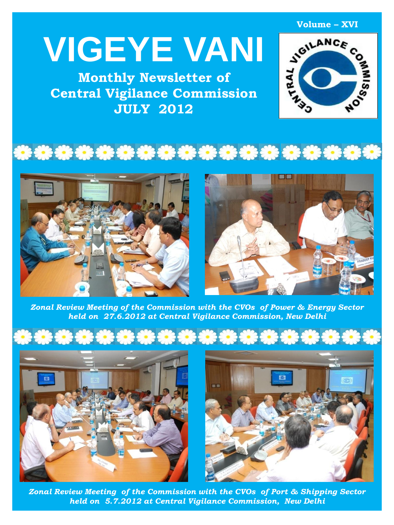# **VIGEYE VANI**

**Monthly Newsletter of Central Vigilance Commission JULY 2012**



\*\*\*\*\*\*\*\*\*\*\*\*\*\*\*\*\*\*\*\*





*Zonal Review Meeting of the Commission with the CVOs of Power & Energy Sector held on 27.6.2012 at Central Vigilance Commission, New Delhi*







*Zonal Review Meeting of the Commission with the CVOs of Port & Shipping Sector held on 5.7.2012 at Central Vigilance Commission, New Delhi*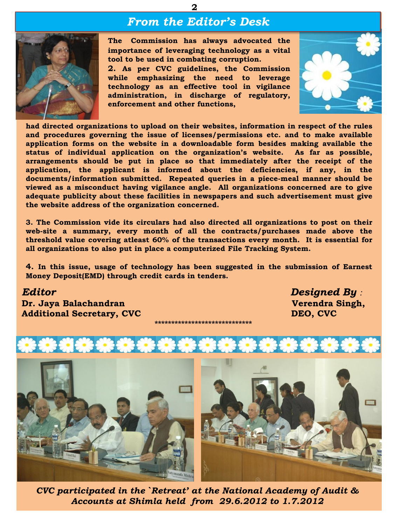## *From the Editor's Desk*

**2**



**The Commission has always advocated the importance of leveraging technology as a vital tool to be used in combating corruption.**

**2. As per CVC guidelines, the Commission while emphasizing the need to leverage technology as an effective tool in vigilance administration, in discharge of regulatory, enforcement and other functions,**



**had directed organizations to upload on their websites, information in respect of the rules and procedures governing the issue of licenses/permissions etc. and to make available application forms on the website in a downloadable form besides making available the status of individual application on the organization's website. As far as possible, arrangements should be put in place so that immediately after the receipt of the application, the applicant is informed about the deficiencies, if any, in the documents/information submitted. Repeated queries in a piece-meal manner should be viewed as a misconduct having vigilance angle. All organizations concerned are to give adequate publicity about these facilities in newspapers and such advertisement must give the website address of the organization concerned.**

**3. The Commission vide its circulars had also directed all organizations to post on their web-site a summary, every month of all the contracts/purchases made above the threshold value covering atleast 60% of the transactions every month. It is essential for all organizations to also put in place a computerized File Tracking System.**

**4. In this issue, usage of technology has been suggested in the submission of Earnest Money Deposit(EMD) through credit cards in tenders.**

**\*\*\*\*\*\*\*\*\*\*\*\*\*\*\*\*\*\*\*\*\*\*\*\*\*\*\*\*\***

*Editor Designed By :* **Dr. Jaya Balachandran** *Verendra* **Singh,** *Verendra* **Singh, Additional Secretary, CVC** DEO, CVC



*CVC participated in the `Retreat' at the National Academy of Audit & Accounts at Shimla held from 29.6.2012 to 1.7.2012*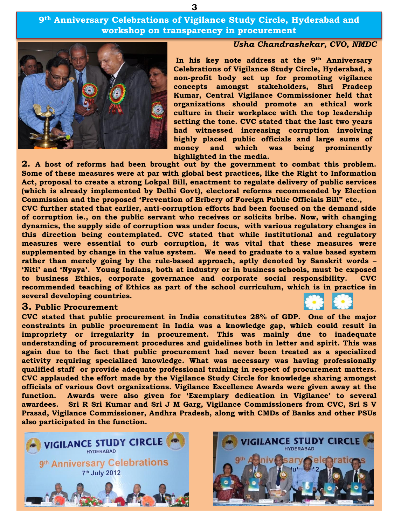**9th Anniversary Celebrations of Vigilance Study Circle, Hyderabad and workshop on transparency in procurement**

**3**

#### *Usha Chandrashekar, CVO, NMDC*

**In his key note address at the 9th Anniversary Celebrations of Vigilance Study Circle, Hyderabad, a non-profit body set up for promoting vigilance concepts amongst stakeholders, Shri Pradeep Kumar, Central Vigilance Commissioner held that organizations should promote an ethical work culture in their workplace with the top leadership setting the tone. CVC stated that the last two years had witnessed increasing corruption involving highly placed public officials and large sums of money and which was being prominently highlighted in the media.**

**2. A host of reforms had been brought out by the government to combat this problem. Some of these measures were at par with global best practices, like the Right to Information Act, proposal to create a strong Lokpal Bill, enactment to regulate delivery of public services (which is already implemented by Delhi Govt), electoral reforms recommended by Election Commission and the proposed 'Prevention of Bribery of Foreign Public Officials Bill" etc.,**

**CVC further stated that earlier, anti-corruption efforts had been focused on the demand side of corruption ie., on the public servant who receives or solicits bribe. Now, with changing dynamics, the supply side of corruption was under focus, with various regulatory changes in this direction being contemplated. CVC stated that while institutional and regulatory measures were essential to curb corruption, it was vital that these measures were supplemented by change in the value system. We need to graduate to a value based system rather than merely going by the rule-based approach, aptly denoted by Sanskrit words –** 'Niti' and 'Nyaya'. Young Indians, both at industry or in business schools, must be exposed **to business Ethics, corporate governance and corporate social responsibility. CVC recommended teaching of Ethics as part of the school curriculum, which is in practice in several developing countries.**

#### **3. Public Procurement**

**CVC stated that public procurement in India constitutes 28% of GDP. One of the major constraints in public procurement in India was a knowledge gap, which could result in impropriety or irregularity in procurement. This was mainly due to inadequate understanding of procurement procedures and guidelines both in letter and spirit. This was again due to the fact that public procurement had never been treated as a specialized activity requiring specialized knowledge. What was necessary was having professionally qualified staff or provide adequate professional training in respect of procurement matters. CVC applauded the effort made by the Vigilance Study Circle for knowledge sharing amongst officials of various Govt organizations. Vigilance Excellence Awards were given away at the function. Awards were also given for 'Exemplary dedication in Vigilance' to several awardees. Sri R Sri Kumar and Sri J M Garg, Vigilance Commissioners from CVC, Sri S V Prasad, Vigilance Commissioner, Andhra Pradesh, along with CMDs of Banks and other PSUs also participated in the function.**







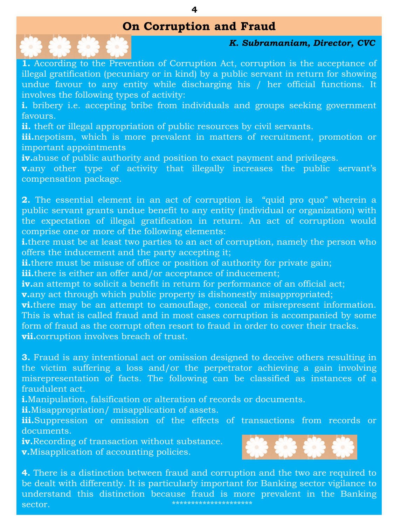## **On Corruption and Fraud**



## *K. Subramaniam, Director, CVC*

illegal gratification (pecuniary or in kind) by a public servant in return for showing<br>undue favour to any entity while discharging his / her official functions. It<br>involves the following types of activity: **1.** According to the Prevention of Corruption Act, corruption is the acceptance of undue favour to any entity while discharging his / her official functions. It involves the following types of activity:

**i.** bribery i.e. accepting bribe from individuals and groups seeking government favours.

**ii.** theft or illegal appropriation of public resources by civil servants.

**11.** Increase appropriation of public resources by each servants.<br>**iii.**nepotism, which is more prevalent in matters of recruitment, promotion or important appointments

**iv.**abuse of public authority and position to exact payment and privileges.

**v.**any other type of activity that illegally increases the public servant's compensation package.

**2.** The essential element in an act of corruption is "quid pro quo" wherein a public servant grants undue benefit to any entity (individual or organization) with<br>the expectation of illegal gratification in return. An est of corruntion would comprise one or more of the following elements: the expectation of illegal gratification in return. An act of corruption would

**i.**there must be at least two parties to an act of corruption, namely the person who<br>offers the inducement and the party accenting it: offers the inducement and the party accepting it;

**ii.**there must be misuse of office or position of authority for private gain; **iii.**there is either an offer and/or acceptance of inducement;<br>in an attempt to soligit a banefit in return for performance of

**v.**any act through which public property is dishonestly misappropriated; **iv.**an attempt to solicit a benefit in return for performance of an official act;

**vi.**there may be an attempt to camouflage, conceal or misrepresent information. Figure 20 Million Countries is the corrupt often resort to fraud in order to cover their tracks. **vii.**corruption involves breach of trust. This is what is called fraud and in most cases corruption is accompanied by some

**3.** Fraud is any intentional act or omission designed to deceive others resulting in the victim suffering a loss and/or the perpetrator achieving a gain involving misrepresentation of facts. The following can be classified as instances of a fraudulent act.

**i.**Manipulation, falsification or alteration of records or documents.

**ii.**Misappropriation/ misapplication of assets.

iii.Suppression or omission of the effects of transactions from records or documents.

**iv.**Recording of transaction without substance. **v.**Misapplication of accounting policies.



**4.** There is a distinction between fraud and corruption and the two are required to be dealt with differently. It is particularly important for Banking sector vigilance to understand this distinction because fraud is more prevalent in the Banking sector. \*\*\*\*\*\*\*\*\*\*\*\*\*\*\*\*\*\*\*\*\*

**4**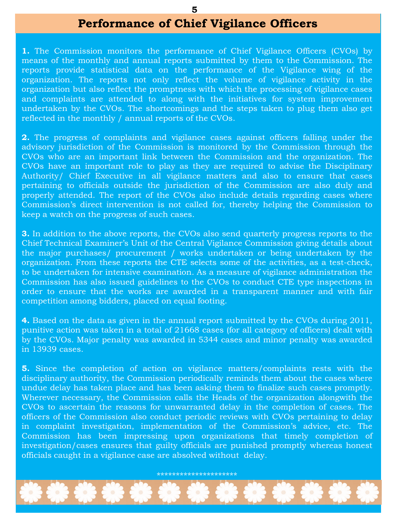#### **5**

## **Performance of Chief Vigilance Officers**

**1.** The Commission monitors the performance of Chief Vigilance Officers (CVOs) by means of the monthly and annual reports submitted by them to the Commission. The reports provide statistical data on the performance of the Vigilance wing of the organization. The reports not only reflect the volume of vigilance activity in the organization but also reflect the promptness with which the processing of vigilance cases and complaints are attended to along with the initiatives for system improvement undertaken by the CVOs. The shortcomings and the steps taken to plug them also get reflected in the monthly / annual reports of the CVOs.

**2.** The progress of complaints and vigilance cases against officers falling under the advisory jurisdiction of the Commission is monitored by the Commission through the CVOs who are an important link between the Commission and the organization. The CVOs have an important role to play as they are required to advise the Disciplinary Authority/ Chief Executive in all vigilance matters and also to ensure that cases pertaining to officials outside the jurisdiction of the Commission are also duly and properly attended. The report of the CVOs also include details regarding cases where Commission's direct intervention is not called for, thereby helping the Commission to keep a watch on the progress of such cases.

**3.** In addition to the above reports, the CVOs also send quarterly progress reports to the Chief Technical Examiner's Unit of the Central Vigilance Commission giving details about the major purchases/ procurement / works undertaken or being undertaken by the organization. From these reports the CTE selects some of the activities, as a test-check, to be undertaken for intensive examination. As a measure of vigilance administration the Commission has also issued guidelines to the CVOs to conduct CTE type inspections in order to ensure that the works are awarded in a transparent manner and with fair competition among bidders, placed on equal footing.

**4.** Based on the data as given in the annual report submitted by the CVOs during 2011, punitive action was taken in a total of 21668 cases (for all category of officers) dealt with by the CVOs. Major penalty was awarded in 5344 cases and minor penalty was awarded in 13939 cases.

*Editor Designed By :* officials caught in a vigilance case are absolved without delay. **5.** Since the completion of action on vigilance matters/complaints rests with the disciplinary authority, the Commission periodically reminds them about the cases where undue delay has taken place and has been asking them to finalize such cases promptly. Wherever necessary, the Commission calls the Heads of the organization alongwith the CVOs to ascertain the reasons for unwarranted delay in the completion of cases. The officers of the Commission also conduct periodic reviews with CVOs pertaining to delay in complaint investigation, implementation of the Commission's advice, etc. The Commission has been impressing upon organizations that timely completion of investigation/cases ensures that guilty officials are punished promptly whereas honest

**Dr. Jaya Balachandran Verendra Singh,**  \*\*\*\*\*\*\*\*\*\*\*\*\*\*\*\*\*\*\*\*\*

**\*\*\*\*\*\*\*\*\*\*\*\*\*\*\*\*\*\*\*\*\*\***\*

Additional Secretary, CVC Decomposition and CVC Decomposition and CVC Decomposition and CVC Decomposition and C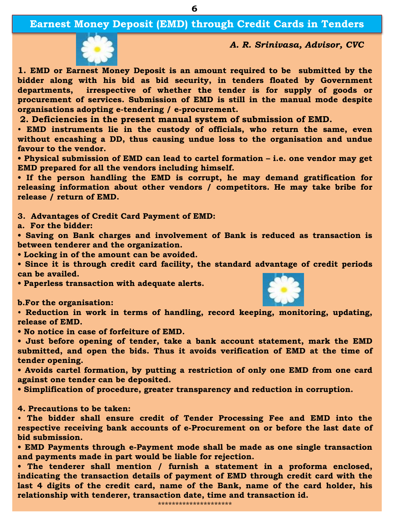**6**



*A. R. Srinivasa, Advisor, CVC*

**1. EMD or Earnest Money Deposit is an amount required to be submitted by the bidder along with his bid as bid security, in tenders floated by Government departments, irrespective of whether the tender is for supply of goods or procurement of services. Submission of EMD is still in the manual mode despite organisations adopting e-tendering / e-procurement.**

**2. Deficiencies in the present manual system of submission of EMD.**

• **EMD instruments lie in the custody of officials, who return the same, even without encashing a DD, thus causing undue loss to the organisation and undue favour to the vendor.**

**• Physical submission of EMD can lead to cartel formation – i.e. one vendor may get EMD prepared for all the vendors including himself.**

**• If the person handling the EMD is corrupt, he may demand gratification for releasing information about other vendors / competitors. He may take bribe for release / return of EMD.**

**3. Advantages of Credit Card Payment of EMD:**

**a. For the bidder:**

**• Saving on Bank charges and involvement of Bank is reduced as transaction is between tenderer and the organization.**

**• Locking in of the amount can be avoided.**

**• Since it is through credit card facility, the standard advantage of credit periods can be availed.**

**• Paperless transaction with adequate alerts.**

**b.For the organisation:**

• **Reduction in work in terms of handling, record keeping, monitoring, updating, release of EMD.**

**• No notice in case of forfeiture of EMD.**

**• Just before opening of tender, take a bank account statement, mark the EMD submitted, and open the bids. Thus it avoids verification of EMD at the time of tender opening.**

**• Avoids cartel formation, by putting a restriction of only one EMD from one card against one tender can be deposited.**

**• Simplification of procedure, greater transparency and reduction in corruption.**

**4. Precautions to be taken:**

• **The bidder shall ensure credit of Tender Processing Fee and EMD into the respective receiving bank accounts of e-Procurement on or before the last date of bid submission.**

**• EMD Payments through e-Payment mode shall be made as one single transaction and payments made in part would be liable for rejection.**

**• The tenderer shall mention / furnish a statement in a proforma enclosed, indicating the transaction details of payment of EMD through credit card with the last 4 digits of the credit card, name of the Bank, name of the card holder, his relationship with tenderer, transaction date, time and transaction id.**

\*\*\*\*\*\*\*\*\*\*\*\*\*\*\*\*\*\*\*\*\*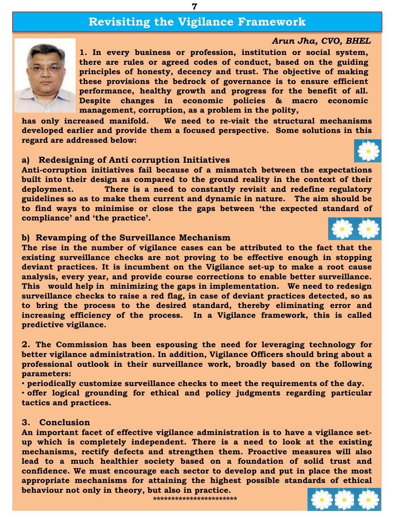## **Revisiting the Vigilance Framework**

**7**

## *Arun Jha, CVO, BHEL*



**1. In every business or profession, institution or social system, there are rules or agreed codes of conduct, based on the guiding principles of honesty, decency and trust. The objective of making these provisions the bedrock of governance is to ensure efficient performance, healthy growth and progress for the benefit of all. Despite changes in economic policies & macro economic management, corruption, as a problem in the polity,**

**has only increased manifold. We need to re-visit the structural mechanisms developed earlier and provide them a focused perspective. Some solutions in this regard are addressed below:**

#### **a) Redesigning of Anti corruption Initiatives**

**Anti-corruption initiatives fail because of a mismatch between the expectations built into their design as compared to the ground reality in the context of their deployment. There is a need to constantly revisit and redefine regulatory guidelines so as to make them current and dynamic in nature. The aim should be to find ways to minimise or close the gaps between 'the expected standard of compliance' and 'the practice'.**

#### **b) Revamping of the Surveillance Mechanism**

**The rise in the number of vigilance cases can be attributed to the fact that the existing surveillance checks are not proving to be effective enough in stopping deviant practices. It is incumbent on the Vigilance set-up to make a root cause analysis, every year, and provide course corrections to enable better surveillance. This would help in minimizing the gaps in implementation. We need to redesign surveillance checks to raise a red flag, in case of deviant practices detected, so as to bring the process to the desired standard, thereby eliminating error and increasing efficiency of the process. In a Vigilance framework, this is called predictive vigilance.**

**2. The Commission has been espousing the need for leveraging technology for better vigilance administration. In addition, Vigilance Officers should bring about a professional outlook in their surveillance work, broadly based on the following parameters:**

• **periodically customize surveillance checks to meet the requirements of the day.**

• **offer logical grounding for ethical and policy judgments regarding particular tactics and practices.**

### **3. Conclusion**

**An important facet of effective vigilance administration is to have a vigilance setup which is completely independent. There is a need to look at the existing mechanisms, rectify defects and strengthen them. Proactive measures will also lead to a much healthier society based on a foundation of solid trust and confidence. We must encourage each sector to develop and put in place the most appropriate mechanisms for attaining the highest possible standards of ethical behaviour not only in theory, but also in practice.**